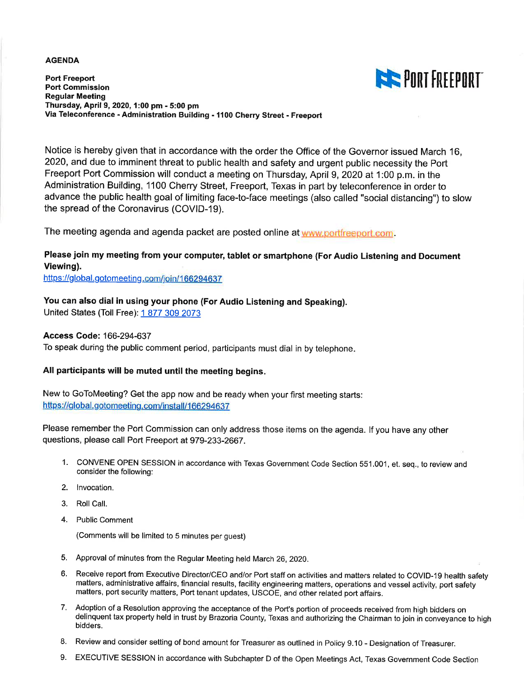#### **AGENDA**

**EXECUTE PORT FREEPORT** 

**Port Freeport Port Commission Regular Meeting** Thursday, April 9, 2020, 1:00 pm - 5:00 pm Via Teleconference - Administration Building - 1100 Cherry Street - Freeport

Notice is hereby given that in accordance with the order the Office of the Governor issued March 16, 2020. and due to imminent threat to public health and safety and urgent public necessity the Port Freeport Port Commission will conduct a meeting on Thursday, April 9, 2020 at 1:00 p.m. in the Administration Building, 1100 Cherry Street, Freeport, Texas in part by teleconference in order to advance the public health goal of limiting face-to-face meetings (also called "social distancing") to slow the spread of the Coronavirus (COVID-19).

The meeting agenda and agenda packet are posted online at www.portfreeport.com

## Please join my meeting from your computer, tablet or smartphone (For Audio Listening and Document Viewing).

https://global.gotomeeting.com/join/166294637

## You can also dial in using your phone (For Audio Listening and Speaking).

United States (Toll Free): 1 877 309 2073

#### **Access Code: 166-294-637**

To speak during the public comment period, participants must dial in by telephone.

## All participants will be muted until the meeting begins.

New to GoToMeeting? Get the app now and be ready when your first meeting starts: https://global.gotomeeting.com/install/166294637

Please remember the Port Commission can only address those items on the agenda. If you have any other questions, please call Port Freeport at 979-233-2667.

- 1. CONVENE OPEN SESSION in accordance with Texas Government Code Section 551.001, et. seq., to review and consider the following:
- 2. Invocation.
- 3. Roll Call.
- 4. Public Comment

(Comments will be limited to 5 minutes per guest)

- 5. Approval of minutes from the Regular Meeting held March 26, 2020.
- 6. Receive report from Executive Director/CEO and/or Port staff on activities and matters related to COVID-19 health safety matters, administrative affairs, financial results, facility engineering matters, operations and vessel activity, port safety matters, port security matters, Port tenant updates, USCOE, and other related port affairs.
- 7. Adoption of a Resolution approving the acceptance of the Port's portion of proceeds received from high bidders on delinquent tax property held in trust by Brazoria County, Texas and authorizing the Chairman to join in conveyance to high bidders.
- 8. Review and consider setting of bond amount for Treasurer as outlined in Policy 9.10 Designation of Treasurer.
- 9. EXECUTIVE SESSION in accordance with Subchapter D of the Open Meetings Act, Texas Government Code Section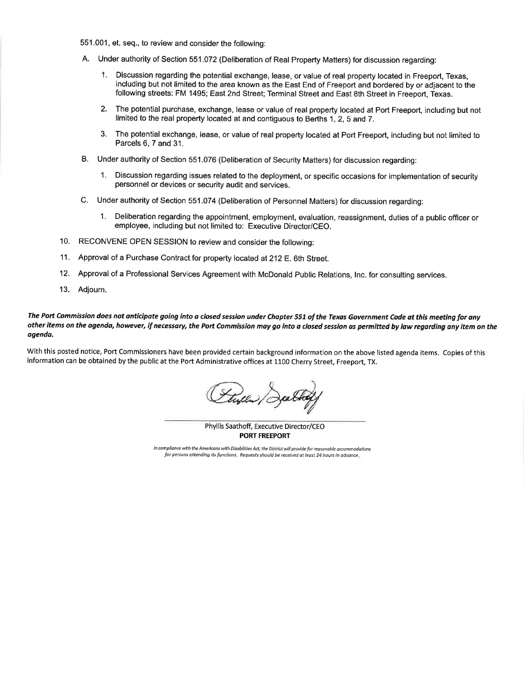- 551.001, et. seq., to review and consider the following:
- A. Under authority of Section 551.072 (Deliberation of Real Property Matters) for discussion regarding:
	- Discussion regarding the potential exchange, lease, or value of real property located in Freeport, Texas,  $1$ including but not limited to the area known as the East End of Freeport and bordered by or adjacent to the following streets: FM 1495; East 2nd Street; Terminal Street and East 8th Street in Freeport, Texas.
	- $2.$ The potential purchase, exchange, lease or value of real property located at Port Freeport, including but not limited to the real property located at and contiguous to Berths 1, 2, 5 and 7.
	- The potential exchange, lease, or value of real property located at Port Freeport, including but not limited to  $3.$ Parcels 6, 7 and 31.
- B. Under authority of Section 551.076 (Deliberation of Security Matters) for discussion regarding:
	- Discussion regarding issues related to the deployment, or specific occasions for implementation of security personnel or devices or security audit and services.
- C. Under authority of Section 551.074 (Deliberation of Personnel Matters) for discussion regarding:
	- Deliberation regarding the appointment, employment, evaluation, reassignment, duties of a public officer or  $1.$ employee, including but not limited to: Executive Director/CEO.
- 10. RECONVENE OPEN SESSION to review and consider the following:
- Approval of a Purchase Contract for property located at 212 E. 6th Street.  $11.$
- $12.$ Approval of a Professional Services Agreement with McDonald Public Relations, Inc. for consulting services.
- $13.$ Adjourn.

#### The Port Commission does not anticipate going into a closed session under Chapter 551 of the Texas Government Code at this meeting for any other items on the agenda, however, if necessary, the Port Commission may go into a closed session as permitted by law regarding any item on the agenda.

With this posted notice, Port Commissioners have been provided certain background information on the above listed agenda items. Copies of this information can be obtained by the public at the Port Administrative offices at 1100 Cherry Street, Freeport, TX.

Phyllis Saathoff, Executive Director/CEO **PORT FREEPORT** 

In compliance with the Americans with Disabilities Act, the District will provide for reasonable accommodations for persons attending its functions. Requests should be received at least 24 hours in advance.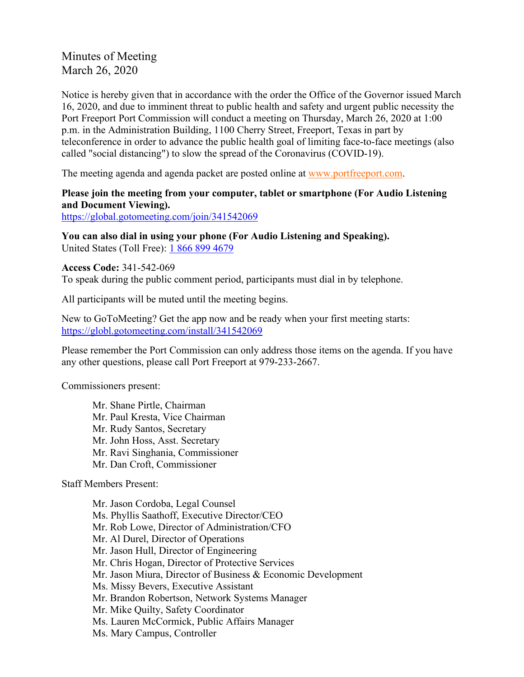Minutes of Meeting March 26, 2020

Notice is hereby given that in accordance with the order the Office of the Governor issued March 16, 2020, and due to imminent threat to public health and safety and urgent public necessity the Port Freeport Port Commission will conduct a meeting on Thursday, March 26, 2020 at 1:00 p.m. in the Administration Building, 1100 Cherry Street, Freeport, Texas in part by teleconference in order to advance the public health goal of limiting face-to-face meetings (also called "social distancing") to slow the spread of the Coronavirus (COVID-19).

The meeting agenda and agenda packet are posted online at [www.portfreeport.com.](http://www.portfreeport.com/)

## **Please join the meeting from your computer, tablet or smartphone (For Audio Listening and Document Viewing).**

<https://global.gotomeeting.com/join/341542069>

**You can also dial in using your phone (For Audio Listening and Speaking).**  United States (Toll Free): [1 866 899 4679](tel:%2018668994679,,341542069)

**Access Code:** 341-542-069 To speak during the public comment period, participants must dial in by telephone.

All participants will be muted until the meeting begins.

New to GoToMeeting? Get the app now and be ready when your first meeting starts: <https://globl.gotomeeting.com/install/341542069>

Please remember the Port Commission can only address those items on the agenda. If you have any other questions, please call Port Freeport at 979-233-2667.

Commissioners present:

Mr. Shane Pirtle, Chairman Mr. Paul Kresta, Vice Chairman Mr. Rudy Santos, Secretary Mr. John Hoss, Asst. Secretary Mr. Ravi Singhania, Commissioner Mr. Dan Croft, Commissioner

Staff Members Present:

Mr. Jason Cordoba, Legal Counsel Ms. Phyllis Saathoff, Executive Director/CEO Mr. Rob Lowe, Director of Administration/CFO Mr. Al Durel, Director of Operations Mr. Jason Hull, Director of Engineering Mr. Chris Hogan, Director of Protective Services Mr. Jason Miura, Director of Business & Economic Development Ms. Missy Bevers, Executive Assistant Mr. Brandon Robertson, Network Systems Manager Mr. Mike Quilty, Safety Coordinator Ms. Lauren McCormick, Public Affairs Manager Ms. Mary Campus, Controller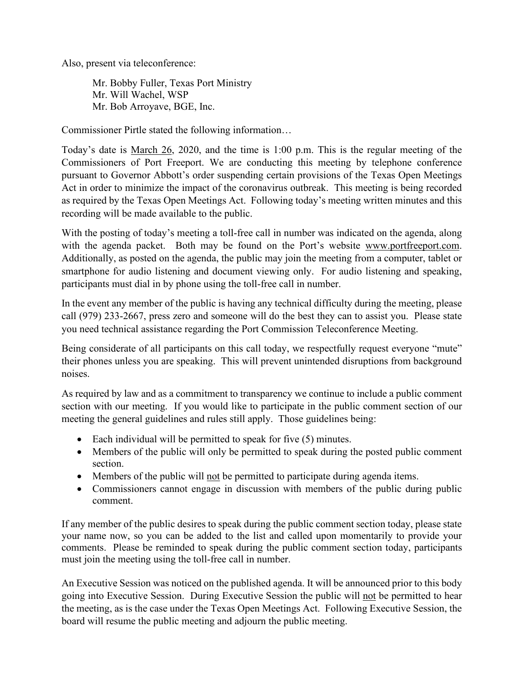Also, present via teleconference:

Mr. Bobby Fuller, Texas Port Ministry Mr. Will Wachel, WSP Mr. Bob Arroyave, BGE, Inc.

Commissioner Pirtle stated the following information…

Today's date is March 26, 2020, and the time is 1:00 p.m. This is the regular meeting of the Commissioners of Port Freeport. We are conducting this meeting by telephone conference pursuant to Governor Abbott's order suspending certain provisions of the Texas Open Meetings Act in order to minimize the impact of the coronavirus outbreak. This meeting is being recorded as required by the Texas Open Meetings Act. Following today's meeting written minutes and this recording will be made available to the public.

With the posting of today's meeting a toll-free call in number was indicated on the agenda, along with the agenda packet. Both may be found on the Port's website [www.portfreeport.com.](http://www.portfreeport.com/) Additionally, as posted on the agenda, the public may join the meeting from a computer, tablet or smartphone for audio listening and document viewing only. For audio listening and speaking, participants must dial in by phone using the toll-free call in number.

In the event any member of the public is having any technical difficulty during the meeting, please call (979) 233-2667, press zero and someone will do the best they can to assist you. Please state you need technical assistance regarding the Port Commission Teleconference Meeting.

Being considerate of all participants on this call today, we respectfully request everyone "mute" their phones unless you are speaking. This will prevent unintended disruptions from background noises.

As required by law and as a commitment to transparency we continue to include a public comment section with our meeting. If you would like to participate in the public comment section of our meeting the general guidelines and rules still apply. Those guidelines being:

- Each individual will be permitted to speak for five (5) minutes.
- Members of the public will only be permitted to speak during the posted public comment section.
- Members of the public will not be permitted to participate during agenda items.
- Commissioners cannot engage in discussion with members of the public during public comment.

If any member of the public desires to speak during the public comment section today, please state your name now, so you can be added to the list and called upon momentarily to provide your comments. Please be reminded to speak during the public comment section today, participants must join the meeting using the toll-free call in number.

An Executive Session was noticed on the published agenda. It will be announced prior to this body going into Executive Session. During Executive Session the public will not be permitted to hear the meeting, as is the case under the Texas Open Meetings Act. Following Executive Session, the board will resume the public meeting and adjourn the public meeting.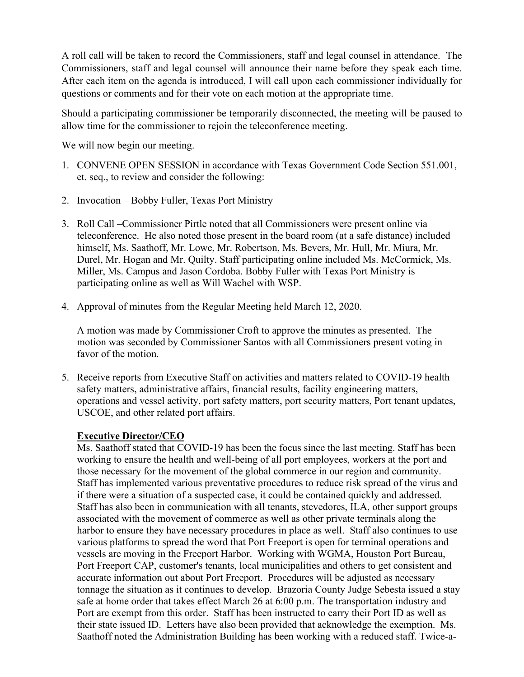A roll call will be taken to record the Commissioners, staff and legal counsel in attendance. The Commissioners, staff and legal counsel will announce their name before they speak each time. After each item on the agenda is introduced, I will call upon each commissioner individually for questions or comments and for their vote on each motion at the appropriate time.

Should a participating commissioner be temporarily disconnected, the meeting will be paused to allow time for the commissioner to rejoin the teleconference meeting.

We will now begin our meeting.

- 1. CONVENE OPEN SESSION in accordance with Texas Government Code Section 551.001, et. seq., to review and consider the following:
- 2. Invocation Bobby Fuller, Texas Port Ministry
- 3. Roll Call –Commissioner Pirtle noted that all Commissioners were present online via teleconference. He also noted those present in the board room (at a safe distance) included himself, Ms. Saathoff, Mr. Lowe, Mr. Robertson, Ms. Bevers, Mr. Hull, Mr. Miura, Mr. Durel, Mr. Hogan and Mr. Quilty. Staff participating online included Ms. McCormick, Ms. Miller, Ms. Campus and Jason Cordoba. Bobby Fuller with Texas Port Ministry is participating online as well as Will Wachel with WSP.
- 4. Approval of minutes from the Regular Meeting held March 12, 2020.

A motion was made by Commissioner Croft to approve the minutes as presented. The motion was seconded by Commissioner Santos with all Commissioners present voting in favor of the motion.

5. Receive reports from Executive Staff on activities and matters related to COVID-19 health safety matters, administrative affairs, financial results, facility engineering matters, operations and vessel activity, port safety matters, port security matters, Port tenant updates, USCOE, and other related port affairs.

## **Executive Director/CEO**

Ms. Saathoff stated that COVID-19 has been the focus since the last meeting. Staff has been working to ensure the health and well-being of all port employees, workers at the port and those necessary for the movement of the global commerce in our region and community. Staff has implemented various preventative procedures to reduce risk spread of the virus and if there were a situation of a suspected case, it could be contained quickly and addressed. Staff has also been in communication with all tenants, stevedores, ILA, other support groups associated with the movement of commerce as well as other private terminals along the harbor to ensure they have necessary procedures in place as well. Staff also continues to use various platforms to spread the word that Port Freeport is open for terminal operations and vessels are moving in the Freeport Harbor. Working with WGMA, Houston Port Bureau, Port Freeport CAP, customer's tenants, local municipalities and others to get consistent and accurate information out about Port Freeport. Procedures will be adjusted as necessary tonnage the situation as it continues to develop. Brazoria County Judge Sebesta issued a stay safe at home order that takes effect March 26 at 6:00 p.m. The transportation industry and Port are exempt from this order. Staff has been instructed to carry their Port ID as well as their state issued ID. Letters have also been provided that acknowledge the exemption. Ms. Saathoff noted the Administration Building has been working with a reduced staff. Twice-a-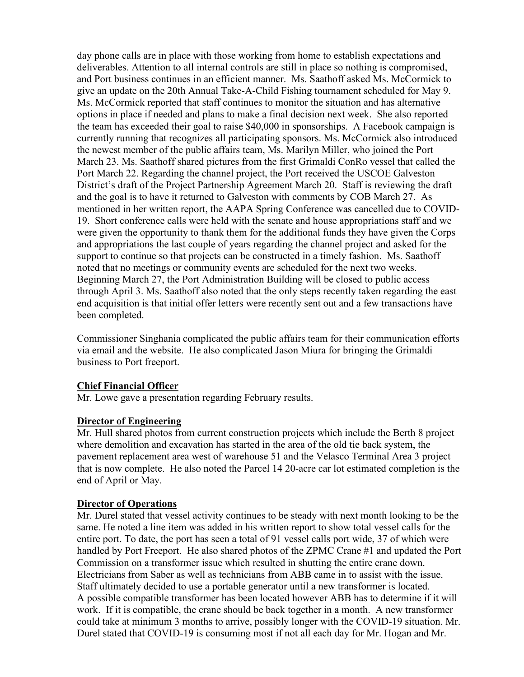day phone calls are in place with those working from home to establish expectations and deliverables. Attention to all internal controls are still in place so nothing is compromised, and Port business continues in an efficient manner. Ms. Saathoff asked Ms. McCormick to give an update on the 20th Annual Take-A-Child Fishing tournament scheduled for May 9. Ms. McCormick reported that staff continues to monitor the situation and has alternative options in place if needed and plans to make a final decision next week. She also reported the team has exceeded their goal to raise \$40,000 in sponsorships. A Facebook campaign is currently running that recognizes all participating sponsors. Ms. McCormick also introduced the newest member of the public affairs team, Ms. Marilyn Miller, who joined the Port March 23. Ms. Saathoff shared pictures from the first Grimaldi ConRo vessel that called the Port March 22. Regarding the channel project, the Port received the USCOE Galveston District's draft of the Project Partnership Agreement March 20. Staff is reviewing the draft and the goal is to have it returned to Galveston with comments by COB March 27. As mentioned in her written report, the AAPA Spring Conference was cancelled due to COVID-19. Short conference calls were held with the senate and house appropriations staff and we were given the opportunity to thank them for the additional funds they have given the Corps and appropriations the last couple of years regarding the channel project and asked for the support to continue so that projects can be constructed in a timely fashion. Ms. Saathoff noted that no meetings or community events are scheduled for the next two weeks. Beginning March 27, the Port Administration Building will be closed to public access through April 3. Ms. Saathoff also noted that the only steps recently taken regarding the east end acquisition is that initial offer letters were recently sent out and a few transactions have been completed.

Commissioner Singhania complicated the public affairs team for their communication efforts via email and the website. He also complicated Jason Miura for bringing the Grimaldi business to Port freeport.

### **Chief Financial Officer**

Mr. Lowe gave a presentation regarding February results.

### **Director of Engineering**

Mr. Hull shared photos from current construction projects which include the Berth 8 project where demolition and excavation has started in the area of the old tie back system, the pavement replacement area west of warehouse 51 and the Velasco Terminal Area 3 project that is now complete. He also noted the Parcel 14 20-acre car lot estimated completion is the end of April or May.

#### **Director of Operations**

Mr. Durel stated that vessel activity continues to be steady with next month looking to be the same. He noted a line item was added in his written report to show total vessel calls for the entire port. To date, the port has seen a total of 91 vessel calls port wide, 37 of which were handled by Port Freeport. He also shared photos of the ZPMC Crane #1 and updated the Port Commission on a transformer issue which resulted in shutting the entire crane down. Electricians from Saber as well as technicians from ABB came in to assist with the issue. Staff ultimately decided to use a portable generator until a new transformer is located. A possible compatible transformer has been located however ABB has to determine if it will work. If it is compatible, the crane should be back together in a month. A new transformer could take at minimum 3 months to arrive, possibly longer with the COVID-19 situation. Mr. Durel stated that COVID-19 is consuming most if not all each day for Mr. Hogan and Mr.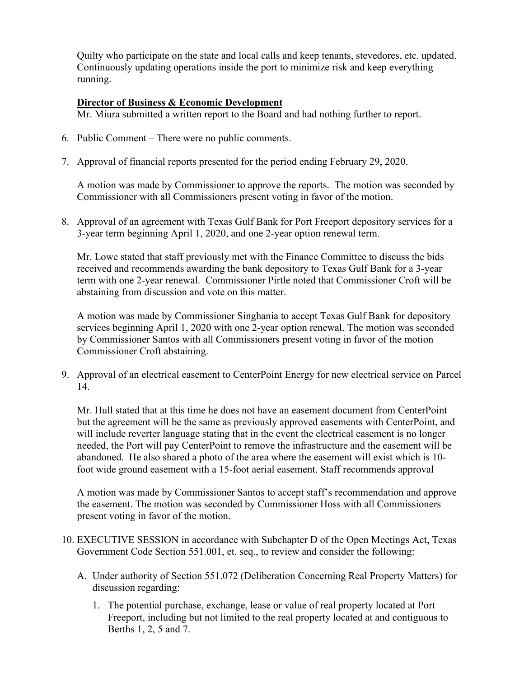Quilty who participate on the state and local calls and keep tenants, stevedores, etc. updated. Continuously updating operations inside the port to minimize risk and keep everything running.

## **Director of Business & Economic Development**

Mr. Miura submitted a written report to the Board and had nothing further to report.

- 6. Public Comment There were no public comments.
- 7. Approval of financial reports presented for the period ending February 29, 2020.

A motion was made by Commissioner to approve the reports. The motion was seconded by Commissioner with all Commissioners present voting in favor of the motion.

8. Approval of an agreement with Texas Gulf Bank for Port Freeport depository services for a 3-year term beginning April 1, 2020, and one 2-year option renewal term.

Mr. Lowe stated that staff previously met with the Finance Committee to discuss the bids received and recommends awarding the bank depository to Texas Gulf Bank for a 3-year term with one 2-year renewal. Commissioner Pirtle noted that Commissioner Croft will be abstaining from discussion and vote on this matter.

A motion was made by Commissioner Singhania to accept Texas Gulf Bank for depository services beginning April 1, 2020 with one 2-year option renewal. The motion was seconded by Commissioner Santos with all Commissioners present voting in favor of the motion Commissioner Croft abstaining.

9. Approval of an electrical easement to CenterPoint Energy for new electrical service on Parcel 14.

Mr. Hull stated that at this time he does not have an easement document from CenterPoint but the agreement will be the same as previously approved easements with CenterPoint, and will include reverter language stating that in the event the electrical easement is no longer needed, the Port will pay CenterPoint to remove the infrastructure and the easement will be abandoned. He also shared a photo of the area where the easement will exist which is 10 foot wide ground easement with a 15-foot aerial easement. Staff recommends approval

A motion was made by Commissioner Santos to accept staff's recommendation and approve the easement. The motion was seconded by Commissioner Hoss with all Commissioners present voting in favor of the motion.

- 10. EXECUTIVE SESSION in accordance with Subchapter D of the Open Meetings Act, Texas Government Code Section 551.001, et. seq., to review and consider the following:
	- A. Under authority of Section 551.072 (Deliberation Concerning Real Property Matters) for discussion regarding:
		- 1. The potential purchase, exchange, lease or value of real property located at Port Freeport, including but not limited to the real property located at and contiguous to Berths 1, 2, 5 and 7.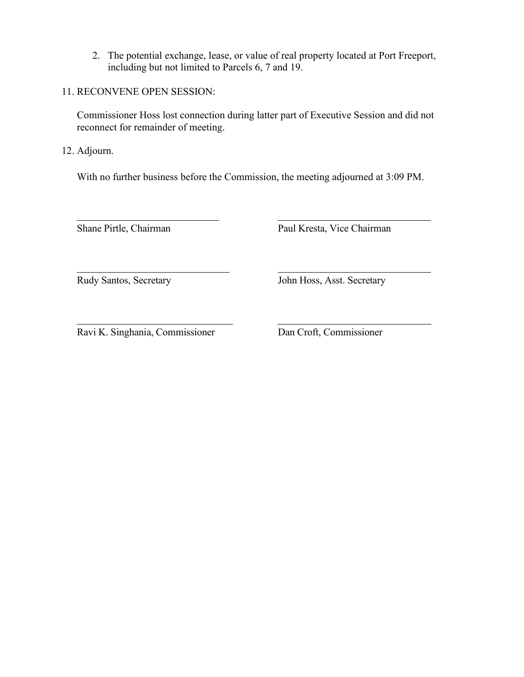2. The potential exchange, lease, or value of real property located at Port Freeport, including but not limited to Parcels 6, 7 and 19.

## 11. RECONVENE OPEN SESSION:

Commissioner Hoss lost connection during latter part of Executive Session and did not reconnect for remainder of meeting.

12. Adjourn.

 $\overline{a}$ 

With no further business before the Commission, the meeting adjourned at 3:09 PM.

Shane Pirtle, Chairman Paul Kresta, Vice Chairman

 $\overline{a}$ 

Rudy Santos, Secretary John Hoss, Asst. Secretary

Ravi K. Singhania, Commissioner Dan Croft, Commissioner

 $\overline{a}$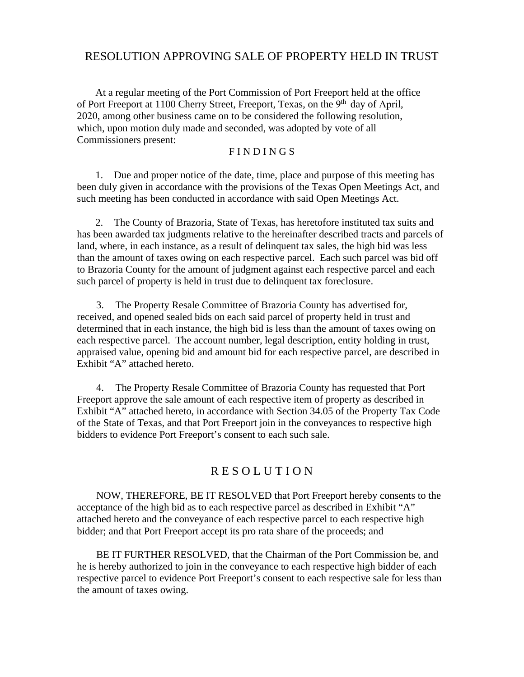# RESOLUTION APPROVING SALE OF PROPERTY HELD IN TRUST

At a regular meeting of the Port Commission of Port Freeport held at the office of Port Freeport at 1100 Cherry Street, Freeport, Texas, on the 9<sup>th</sup> day of April, 2020, among other business came on to be considered the following resolution, which, upon motion duly made and seconded, was adopted by vote of all Commissioners present:

#### F I N D I N G S

1. Due and proper notice of the date, time, place and purpose of this meeting has been duly given in accordance with the provisions of the Texas Open Meetings Act, and such meeting has been conducted in accordance with said Open Meetings Act.

2. The County of Brazoria, State of Texas, has heretofore instituted tax suits and has been awarded tax judgments relative to the hereinafter described tracts and parcels of land, where, in each instance, as a result of delinquent tax sales, the high bid was less than the amount of taxes owing on each respective parcel. Each such parcel was bid off to Brazoria County for the amount of judgment against each respective parcel and each such parcel of property is held in trust due to delinquent tax foreclosure.

3. The Property Resale Committee of Brazoria County has advertised for, received, and opened sealed bids on each said parcel of property held in trust and determined that in each instance, the high bid is less than the amount of taxes owing on each respective parcel. The account number, legal description, entity holding in trust, appraised value, opening bid and amount bid for each respective parcel, are described in Exhibit "A" attached hereto.

4. The Property Resale Committee of Brazoria County has requested that Port Freeport approve the sale amount of each respective item of property as described in Exhibit "A" attached hereto, in accordance with Section 34.05 of the Property Tax Code of the State of Texas, and that Port Freeport join in the conveyances to respective high bidders to evidence Port Freeport's consent to each such sale.

## R E S O L U T I O N

NOW, THEREFORE, BE IT RESOLVED that Port Freeport hereby consents to the acceptance of the high bid as to each respective parcel as described in Exhibit "A" attached hereto and the conveyance of each respective parcel to each respective high bidder; and that Port Freeport accept its pro rata share of the proceeds; and

 BE IT FURTHER RESOLVED, that the Chairman of the Port Commission be, and he is hereby authorized to join in the conveyance to each respective high bidder of each respective parcel to evidence Port Freeport's consent to each respective sale for less than the amount of taxes owing.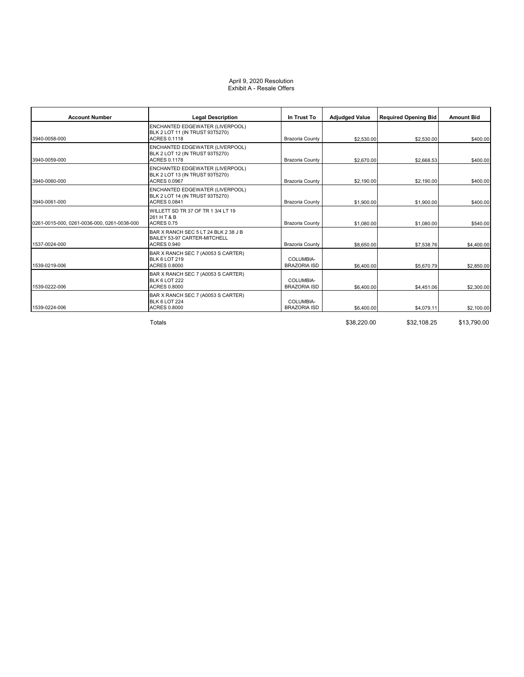#### April 9, 2020 Resolution Exhibit A - Resale Offers

| <b>Account Number</b>                       | <b>Legal Description</b>                                                                         | In Trust To                      | <b>Adjudged Value</b> | <b>Required Opening Bid</b> | <b>Amount Bid</b> |
|---------------------------------------------|--------------------------------------------------------------------------------------------------|----------------------------------|-----------------------|-----------------------------|-------------------|
| 3940-0058-000                               | <b>ENCHANTED EDGEWATER (LIVERPOOL)</b><br>BLK 2 LOT 11 (IN TRUST 93T5270)<br><b>ACRES 0.1118</b> | Brazoria County                  | \$2,530.00            | \$2,530.00                  | \$400.00          |
| 3940-0059-000                               | <b>ENCHANTED EDGEWATER (LIVERPOOL)</b><br>BLK 2 LOT 12 (IN TRUST 93T5270)<br><b>ACRES 0.1178</b> | Brazoria County                  | \$2,670.00            | \$2,668.53                  | \$400.00          |
| 3940-0060-000                               | <b>ENCHANTED EDGEWATER (LIVERPOOL)</b><br>BLK 2 LOT 13 (IN TRUST 93T5270)<br><b>ACRES 0.0967</b> | Brazoria County                  | \$2,190.00            | \$2,190.00                  | \$400.00          |
| 3940-0061-000                               | ENCHANTED EDGEWATER (LIVERPOOL)<br>BLK 2 LOT 14 (IN TRUST 93T5270)<br><b>ACRES 0.0841</b>        | Brazoria County                  | \$1,900.00            | \$1,900.00                  | \$400.00          |
| 0261-0015-000, 0261-0036-000, 0261-0038-000 | WILLETT SD TR 37 OF TR 1 3/4 LT 19<br>261 H T & B<br><b>ACRES 0.75</b>                           | Brazoria County                  | \$1,080.00            | \$1,080.00                  | \$540.00          |
| 1537-0024-000                               | BAR X RANCH SEC 5 LT 24 BLK 2 38 J B<br>BAILEY 53-97 CARTER-MITCHELL<br><b>ACRES 0.940</b>       | Brazoria County                  | \$8,650.00            | \$7,538.76                  | \$4,400.00        |
| 1539-0219-006                               | BAR X RANCH SEC 7 (A0053 S CARTER)<br><b>BLK 6 LOT 219</b><br><b>ACRES 0.8000</b>                | COLUMBIA-<br><b>BRAZORIA ISD</b> | \$6,400.00            | \$5,670.79                  | \$2,850.00        |
| 1539-0222-006                               | BAR X RANCH SEC 7 (A0053 S CARTER)<br><b>BLK 6 LOT 222</b><br><b>ACRES 0.8000</b>                | COLUMBIA-<br><b>BRAZORIA ISD</b> | \$6,400.00            | \$4,451.06                  | \$2,300.00        |
| 1539-0224-006                               | BAR X RANCH SEC 7 (A0053 S CARTER)<br><b>BLK 6 LOT 224</b><br><b>ACRES 0.8000</b>                | COLUMBIA-<br>BRAZORIA ISD        | \$6,400.00            | \$4.079.11                  | \$2,100.00        |

Totals \$38,220.00 \$32,108.25 \$13,790.00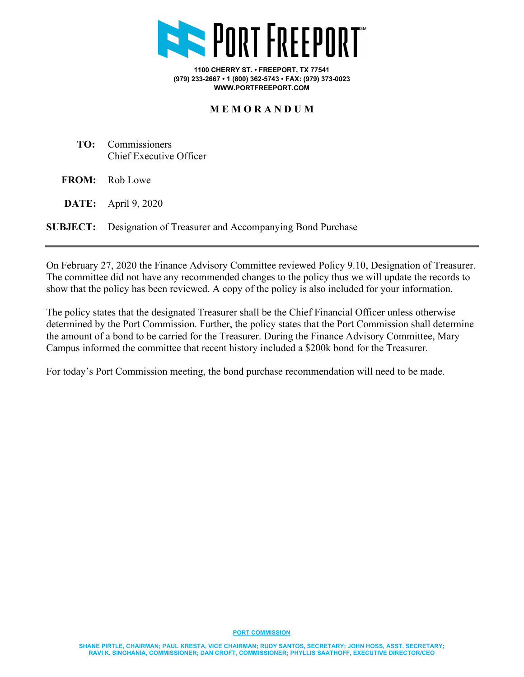

**1100 CHERRY ST. • FREEPORT, TX 77541 (979) 233-2667 • 1 (800) 362-5743 • FAX: (979) 373-0023 WWW.PORTFREEPORT.COM**

## **M E M O R A N D U M**

- **TO:** Commissioners Chief Executive Officer
- **FROM:** Rob Lowe
- **DATE:** April 9, 2020

**SUBJECT:** Designation of Treasurer and Accompanying Bond Purchase

On February 27, 2020 the Finance Advisory Committee reviewed Policy 9.10, Designation of Treasurer. The committee did not have any recommended changes to the policy thus we will update the records to show that the policy has been reviewed. A copy of the policy is also included for your information.

The policy states that the designated Treasurer shall be the Chief Financial Officer unless otherwise determined by the Port Commission. Further, the policy states that the Port Commission shall determine the amount of a bond to be carried for the Treasurer. During the Finance Advisory Committee, Mary Campus informed the committee that recent history included a \$200k bond for the Treasurer.

For today's Port Commission meeting, the bond purchase recommendation will need to be made.

**PORT COMMISSION**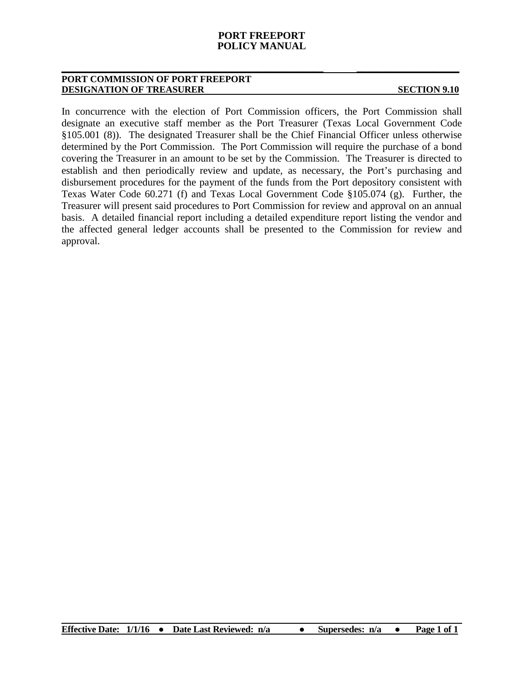#### **PORT FREEPORT POLICY MANUAL**

**\_\_\_\_\_\_\_\_\_\_\_\_\_\_\_\_\_\_\_\_\_\_\_\_\_\_\_\_\_\_\_\_\_\_\_\_\_\_\_\_\_\_\_\_\_\_\_\_\_\_\_ \_\_\_\_\_\_\_\_\_\_\_\_\_\_\_\_\_\_\_\_**

#### **PORT COMMISSION OF PORT FREEPORT DESIGNATION OF TREASURER SECTION 9.10**

In concurrence with the election of Port Commission officers, the Port Commission shall designate an executive staff member as the Port Treasurer (Texas Local Government Code §105.001 (8)). The designated Treasurer shall be the Chief Financial Officer unless otherwise determined by the Port Commission. The Port Commission will require the purchase of a bond covering the Treasurer in an amount to be set by the Commission. The Treasurer is directed to establish and then periodically review and update, as necessary, the Port's purchasing and disbursement procedures for the payment of the funds from the Port depository consistent with Texas Water Code 60.271 (f) and Texas Local Government Code §105.074 (g). Further, the Treasurer will present said procedures to Port Commission for review and approval on an annual basis. A detailed financial report including a detailed expenditure report listing the vendor and the affected general ledger accounts shall be presented to the Commission for review and approval.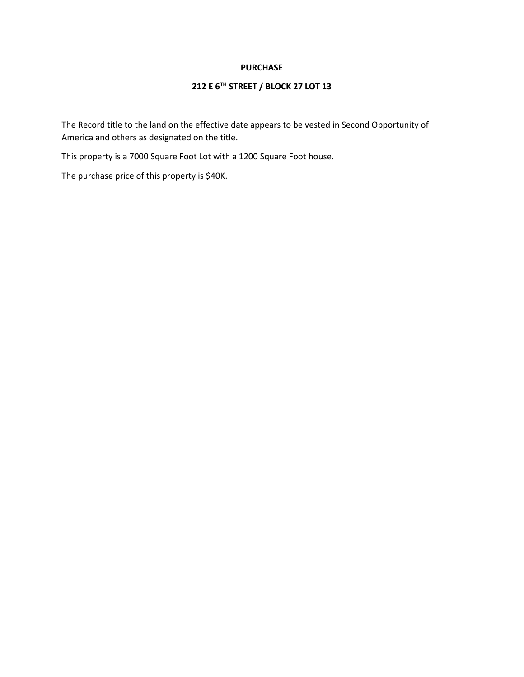#### **PURCHASE**

## **212 E 6TH STREET / BLOCK 27 LOT 13**

The Record title to the land on the effective date appears to be vested in Second Opportunity of America and others as designated on the title.

This property is a 7000 Square Foot Lot with a 1200 Square Foot house.

The purchase price of this property is \$40K.